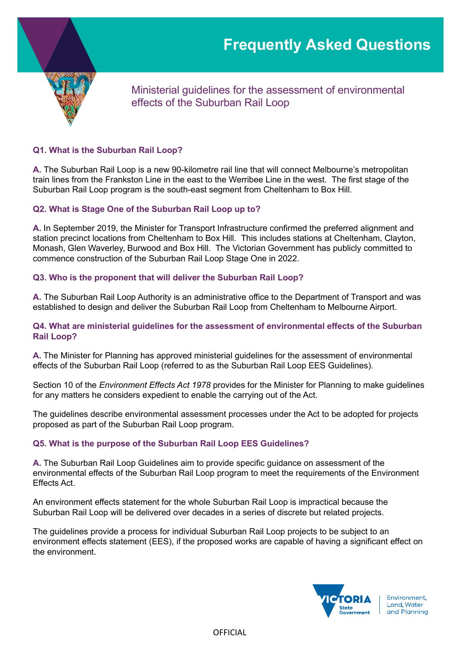

Ministerial guidelines for the assessment of environmental effects of the Suburban Rail Loop

## **Q1. What is the Suburban Rail Loop?**

**A.** The Suburban Rail Loop is a new 90-kilometre rail line that will connect Melbourne's metropolitan train lines from the Frankston Line in the east to the Werribee Line in the west. The first stage of the Suburban Rail Loop program is the south-east segment from Cheltenham to Box Hill.

### **Q2. What is Stage One of the Suburban Rail Loop up to?**

**A.** In September 2019, the Minister for Transport Infrastructure confirmed the preferred alignment and station precinct locations from Cheltenham to Box Hill. This includes stations at Cheltenham, Clayton, Monash, Glen Waverley, Burwood and Box Hill. The Victorian Government has publicly committed to commence construction of the Suburban Rail Loop Stage One in 2022.

### **Q3. Who is the proponent that will deliver the Suburban Rail Loop?**

**A.** The Suburban Rail Loop Authority is an administrative office to the Department of Transport and was established to design and deliver the Suburban Rail Loop from Cheltenham to Melbourne Airport.

### **Q4. What are ministerial guidelines for the assessment of environmental effects of the Suburban Rail Loop?**

**A.** The Minister for Planning has approved ministerial guidelines for the assessment of environmental effects of the Suburban Rail Loop (referred to as the Suburban Rail Loop EES Guidelines).

Section 10 of the *Environment Effects Act 1978* provides for the Minister for Planning to make guidelines for any matters he considers expedient to enable the carrying out of the Act.

The guidelines describe environmental assessment processes under the Act to be adopted for projects proposed as part of the Suburban Rail Loop program.

#### **Q5. What is the purpose of the Suburban Rail Loop EES Guidelines?**

**A.** The Suburban Rail Loop Guidelines aim to provide specific guidance on assessment of the environmental effects of the Suburban Rail Loop program to meet the requirements of the Environment Effects Act.

An environment effects statement for the whole Suburban Rail Loop is impractical because the Suburban Rail Loop will be delivered over decades in a series of discrete but related projects.

The guidelines provide a process for individual Suburban Rail Loop projects to be subject to an environment effects statement (EES), if the proposed works are capable of having a significant effect on the environment.